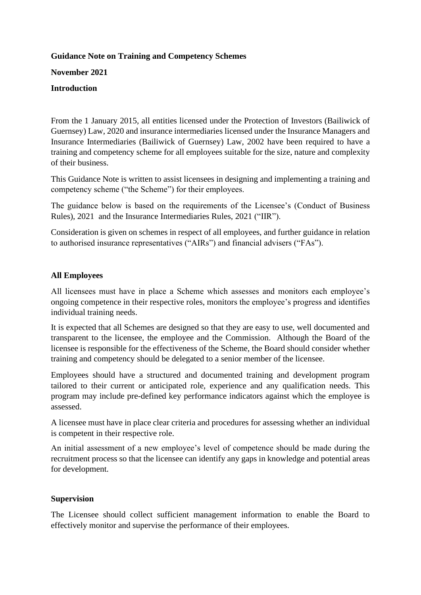# **Guidance Note on Training and Competency Schemes**

**November 2021**

### **Introduction**

From the 1 January 2015, all entities licensed under the Protection of Investors (Bailiwick of Guernsey) Law, 2020 and insurance intermediaries licensed under the Insurance Managers and Insurance Intermediaries (Bailiwick of Guernsey) Law, 2002 have been required to have a training and competency scheme for all employees suitable for the size, nature and complexity of their business.

This Guidance Note is written to assist licensees in designing and implementing a training and competency scheme ("the Scheme") for their employees.

The guidance below is based on the requirements of the Licensee's (Conduct of Business Rules), 2021 and the Insurance Intermediaries Rules, 2021 ("IIR").

Consideration is given on schemes in respect of all employees, and further guidance in relation to authorised insurance representatives ("AIRs") and financial advisers ("FAs").

# **All Employees**

All licensees must have in place a Scheme which assesses and monitors each employee's ongoing competence in their respective roles, monitors the employee's progress and identifies individual training needs.

It is expected that all Schemes are designed so that they are easy to use, well documented and transparent to the licensee, the employee and the Commission. Although the Board of the licensee is responsible for the effectiveness of the Scheme, the Board should consider whether training and competency should be delegated to a senior member of the licensee.

Employees should have a structured and documented training and development program tailored to their current or anticipated role, experience and any qualification needs. This program may include pre-defined key performance indicators against which the employee is assessed.

A licensee must have in place clear criteria and procedures for assessing whether an individual is competent in their respective role.

An initial assessment of a new employee's level of competence should be made during the recruitment process so that the licensee can identify any gaps in knowledge and potential areas for development.

# **Supervision**

The Licensee should collect sufficient management information to enable the Board to effectively monitor and supervise the performance of their employees.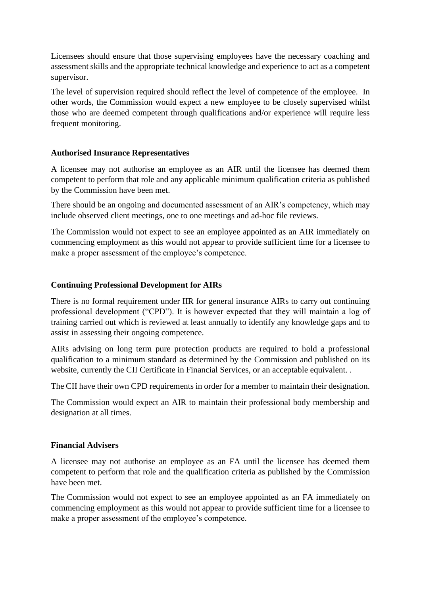Licensees should ensure that those supervising employees have the necessary coaching and assessment skills and the appropriate technical knowledge and experience to act as a competent supervisor.

The level of supervision required should reflect the level of competence of the employee. In other words, the Commission would expect a new employee to be closely supervised whilst those who are deemed competent through qualifications and/or experience will require less frequent monitoring.

### **Authorised Insurance Representatives**

A licensee may not authorise an employee as an AIR until the licensee has deemed them competent to perform that role and any applicable minimum qualification criteria as published by the Commission have been met.

There should be an ongoing and documented assessment of an AIR's competency, which may include observed client meetings, one to one meetings and ad-hoc file reviews.

The Commission would not expect to see an employee appointed as an AIR immediately on commencing employment as this would not appear to provide sufficient time for a licensee to make a proper assessment of the employee's competence.

### **Continuing Professional Development for AIRs**

There is no formal requirement under IIR for general insurance AIRs to carry out continuing professional development ("CPD"). It is however expected that they will maintain a log of training carried out which is reviewed at least annually to identify any knowledge gaps and to assist in assessing their ongoing competence.

AIRs advising on long term pure protection products are required to hold a professional qualification to a minimum standard as determined by the Commission and published on its website, currently the CII Certificate in Financial Services, or an acceptable equivalent. .

The CII have their own CPD requirements in order for a member to maintain their designation.

The Commission would expect an AIR to maintain their professional body membership and designation at all times.

# **Financial Advisers**

A licensee may not authorise an employee as an FA until the licensee has deemed them competent to perform that role and the qualification criteria as published by the Commission have been met.

The Commission would not expect to see an employee appointed as an FA immediately on commencing employment as this would not appear to provide sufficient time for a licensee to make a proper assessment of the employee's competence.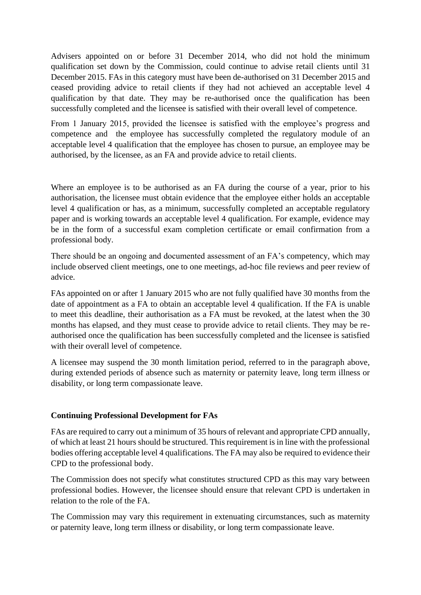Advisers appointed on or before 31 December 2014, who did not hold the minimum qualification set down by the Commission, could continue to advise retail clients until 31 December 2015. FAs in this category must have been de-authorised on 31 December 2015 and ceased providing advice to retail clients if they had not achieved an acceptable level 4 qualification by that date. They may be re-authorised once the qualification has been successfully completed and the licensee is satisfied with their overall level of competence.

From 1 January 2015, provided the licensee is satisfied with the employee's progress and competence and the employee has successfully completed the regulatory module of an acceptable level 4 qualification that the employee has chosen to pursue, an employee may be authorised, by the licensee, as an FA and provide advice to retail clients.

Where an employee is to be authorised as an FA during the course of a year, prior to his authorisation, the licensee must obtain evidence that the employee either holds an acceptable level 4 qualification or has, as a minimum, successfully completed an acceptable regulatory paper and is working towards an acceptable level 4 qualification. For example, evidence may be in the form of a successful exam completion certificate or email confirmation from a professional body.

There should be an ongoing and documented assessment of an FA's competency, which may include observed client meetings, one to one meetings, ad-hoc file reviews and peer review of advice.

FAs appointed on or after 1 January 2015 who are not fully qualified have 30 months from the date of appointment as a FA to obtain an acceptable level 4 qualification. If the FA is unable to meet this deadline, their authorisation as a FA must be revoked, at the latest when the 30 months has elapsed, and they must cease to provide advice to retail clients. They may be reauthorised once the qualification has been successfully completed and the licensee is satisfied with their overall level of competence.

A licensee may suspend the 30 month limitation period, referred to in the paragraph above, during extended periods of absence such as maternity or paternity leave, long term illness or disability, or long term compassionate leave.

# **Continuing Professional Development for FAs**

FAs are required to carry out a minimum of 35 hours of relevant and appropriate CPD annually, of which at least 21 hours should be structured. This requirement is in line with the professional bodies offering acceptable level 4 qualifications. The FA may also be required to evidence their CPD to the professional body.

The Commission does not specify what constitutes structured CPD as this may vary between professional bodies. However, the licensee should ensure that relevant CPD is undertaken in relation to the role of the FA.

The Commission may vary this requirement in extenuating circumstances, such as maternity or paternity leave, long term illness or disability, or long term compassionate leave.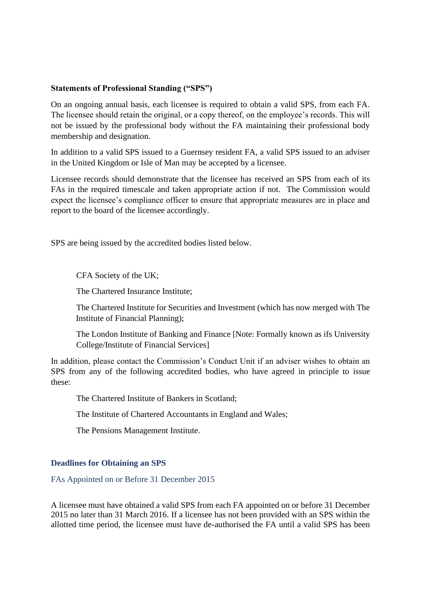### **Statements of Professional Standing ("SPS")**

On an ongoing annual basis, each licensee is required to obtain a valid SPS, from each FA. The licensee should retain the original, or a copy thereof, on the employee's records. This will not be issued by the professional body without the FA maintaining their professional body membership and designation.

In addition to a valid SPS issued to a Guernsey resident FA, a valid SPS issued to an adviser in the United Kingdom or Isle of Man may be accepted by a licensee.

Licensee records should demonstrate that the licensee has received an SPS from each of its FAs in the required timescale and taken appropriate action if not. The Commission would expect the licensee's compliance officer to ensure that appropriate measures are in place and report to the board of the licensee accordingly.

SPS are being issued by the accredited bodies listed below.

CFA Society of the UK;

The Chartered Insurance Institute;

The Chartered Institute for Securities and Investment (which has now merged with The Institute of Financial Planning);

The London Institute of Banking and Finance [Note: Formally known as ifs University College/Institute of Financial Services]

In addition, please contact the Commission's Conduct Unit if an adviser wishes to obtain an SPS from any of the following accredited bodies, who have agreed in principle to issue these:

The Chartered Institute of Bankers in Scotland;

The Institute of Chartered Accountants in England and Wales;

The Pensions Management Institute.

#### **Deadlines for Obtaining an SPS**

FAs Appointed on or Before 31 December 2015

A licensee must have obtained a valid SPS from each FA appointed on or before 31 December 2015 no later than 31 March 2016. If a licensee has not been provided with an SPS within the allotted time period, the licensee must have de-authorised the FA until a valid SPS has been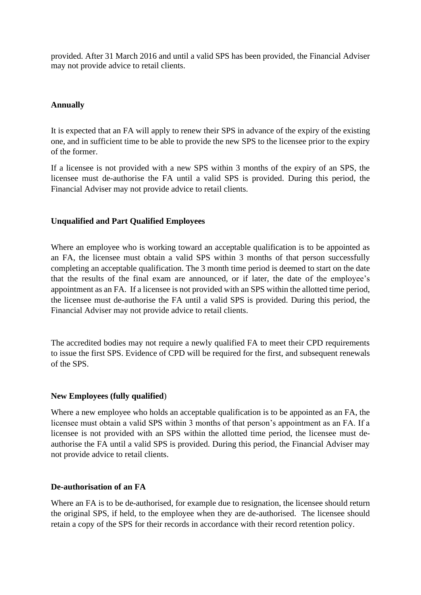provided. After 31 March 2016 and until a valid SPS has been provided, the Financial Adviser may not provide advice to retail clients.

### **Annually**

It is expected that an FA will apply to renew their SPS in advance of the expiry of the existing one, and in sufficient time to be able to provide the new SPS to the licensee prior to the expiry of the former.

If a licensee is not provided with a new SPS within 3 months of the expiry of an SPS, the licensee must de-authorise the FA until a valid SPS is provided. During this period, the Financial Adviser may not provide advice to retail clients.

#### **Unqualified and Part Qualified Employees**

Where an employee who is working toward an acceptable qualification is to be appointed as an FA, the licensee must obtain a valid SPS within 3 months of that person successfully completing an acceptable qualification. The 3 month time period is deemed to start on the date that the results of the final exam are announced, or if later, the date of the employee's appointment as an FA. If a licensee is not provided with an SPS within the allotted time period, the licensee must de-authorise the FA until a valid SPS is provided. During this period, the Financial Adviser may not provide advice to retail clients.

The accredited bodies may not require a newly qualified FA to meet their CPD requirements to issue the first SPS. Evidence of CPD will be required for the first, and subsequent renewals of the SPS.

#### **New Employees (fully qualified**)

Where a new employee who holds an acceptable qualification is to be appointed as an FA, the licensee must obtain a valid SPS within 3 months of that person's appointment as an FA. If a licensee is not provided with an SPS within the allotted time period, the licensee must deauthorise the FA until a valid SPS is provided. During this period, the Financial Adviser may not provide advice to retail clients.

#### **De-authorisation of an FA**

Where an FA is to be de-authorised, for example due to resignation, the licensee should return the original SPS, if held, to the employee when they are de-authorised. The licensee should retain a copy of the SPS for their records in accordance with their record retention policy.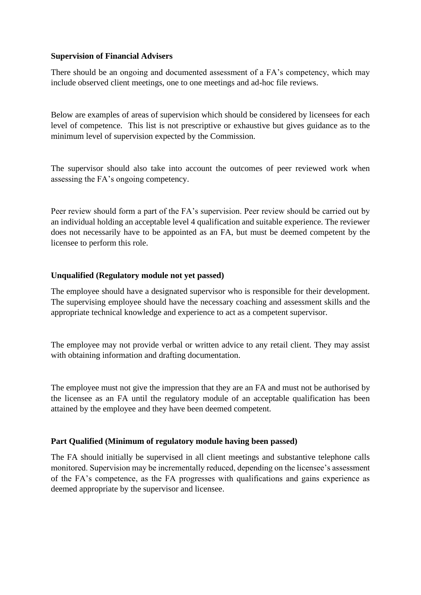### **Supervision of Financial Advisers**

There should be an ongoing and documented assessment of a FA's competency, which may include observed client meetings, one to one meetings and ad-hoc file reviews.

Below are examples of areas of supervision which should be considered by licensees for each level of competence. This list is not prescriptive or exhaustive but gives guidance as to the minimum level of supervision expected by the Commission.

The supervisor should also take into account the outcomes of peer reviewed work when assessing the FA's ongoing competency.

Peer review should form a part of the FA's supervision. Peer review should be carried out by an individual holding an acceptable level 4 qualification and suitable experience. The reviewer does not necessarily have to be appointed as an FA, but must be deemed competent by the licensee to perform this role.

# **Unqualified (Regulatory module not yet passed)**

The employee should have a designated supervisor who is responsible for their development. The supervising employee should have the necessary coaching and assessment skills and the appropriate technical knowledge and experience to act as a competent supervisor.

The employee may not provide verbal or written advice to any retail client. They may assist with obtaining information and drafting documentation.

The employee must not give the impression that they are an FA and must not be authorised by the licensee as an FA until the regulatory module of an acceptable qualification has been attained by the employee and they have been deemed competent.

# **Part Qualified (Minimum of regulatory module having been passed)**

The FA should initially be supervised in all client meetings and substantive telephone calls monitored. Supervision may be incrementally reduced, depending on the licensee's assessment of the FA's competence, as the FA progresses with qualifications and gains experience as deemed appropriate by the supervisor and licensee.